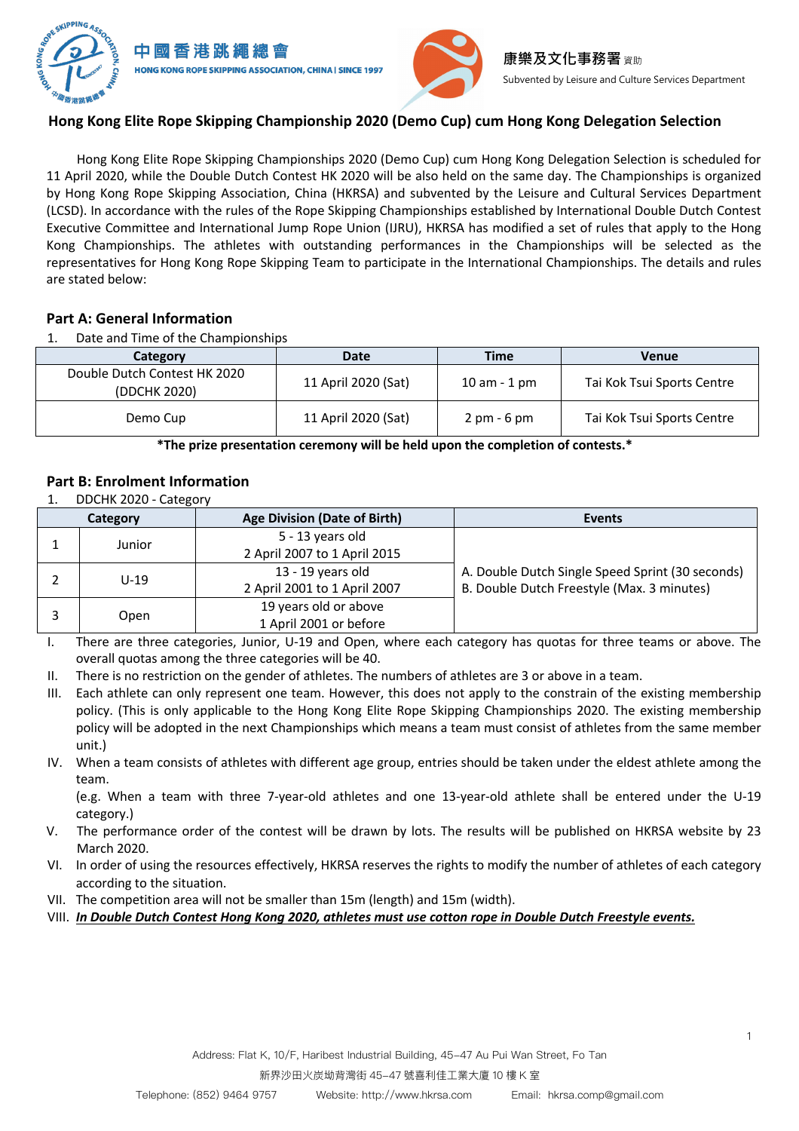

# **Hong Kong Elite Rope Skipping Championship 2020 (Demo Cup) cum Hong Kong Delegation Selection**

Hong Kong Elite Rope Skipping Championships 2020 (Demo Cup) cum Hong Kong Delegation Selection is scheduled for 11 April 2020, while the Double Dutch Contest HK 2020 will be also held on the same day. The Championships is organized by Hong Kong Rope Skipping Association, China (HKRSA) and subvented by the Leisure and Cultural Services Department (LCSD). In accordance with the rules of the Rope Skipping Championships established by International Double Dutch Contest Executive Committee and International Jump Rope Union (IJRU), HKRSA has modified a set of rules that apply to the Hong Kong Championships. The athletes with outstanding performances in the Championships will be selected as the representatives for Hong Kong Rope Skipping Team to participate in the International Championships. The details and rules are stated below:

# **Part A: General Information**

1. Date and Time of the Championships

| Category                                     | Date                | Time                          | Venue                      |
|----------------------------------------------|---------------------|-------------------------------|----------------------------|
| Double Dutch Contest HK 2020<br>(DDCHK 2020) | 11 April 2020 (Sat) | $10$ am $-1$ pm               | Tai Kok Tsui Sports Centre |
| Demo Cup                                     | 11 April 2020 (Sat) | $2 \text{ pm} - 6 \text{ pm}$ | Tai Kok Tsui Sports Centre |

**\*The prize presentation ceremony will be held upon the completion of contests.\***

# **Part B: Enrolment Information**

1. DDCHK 2020 - Category

| Category |        | <b>Age Division (Date of Birth)</b> | <b>Events</b>                                    |  |
|----------|--------|-------------------------------------|--------------------------------------------------|--|
|          | Junior | 5 - 13 years old                    |                                                  |  |
|          |        | 2 April 2007 to 1 April 2015        |                                                  |  |
|          | $U-19$ | 13 - 19 years old                   | A. Double Dutch Single Speed Sprint (30 seconds) |  |
|          |        | 2 April 2001 to 1 April 2007        | B. Double Dutch Freestyle (Max. 3 minutes)       |  |
|          | Open   | 19 years old or above               |                                                  |  |
|          |        | 1 April 2001 or before              |                                                  |  |

I. There are three categories, Junior, U-19 and Open, where each category has quotas for three teams or above. The overall quotas among the three categories will be 40.

- II. There is no restriction on the gender of athletes. The numbers of athletes are 3 or above in a team.
- III. Each athlete can only represent one team. However, this does not apply to the constrain of the existing membership policy. (This is only applicable to the Hong Kong Elite Rope Skipping Championships 2020. The existing membership policy will be adopted in the next Championships which means a team must consist of athletes from the same member unit.)
- IV. When a team consists of athletes with different age group, entries should be taken under the eldest athlete among the team.

(e.g. When a team with three 7-year-old athletes and one 13-year-old athlete shall be entered under the U-19 category.)

- V. The performance order of the contest will be drawn by lots. The results will be published on HKRSA website by 23 March 2020.
- VI. In order of using the resources effectively, HKRSA reserves the rights to modify the number of athletes of each category according to the situation.
- VII. The competition area will not be smaller than 15m (length) and 15m (width).
- VIII. *In Double Dutch Contest Hong Kong 2020, athletes must use cotton rope in Double Dutch Freestyle events.*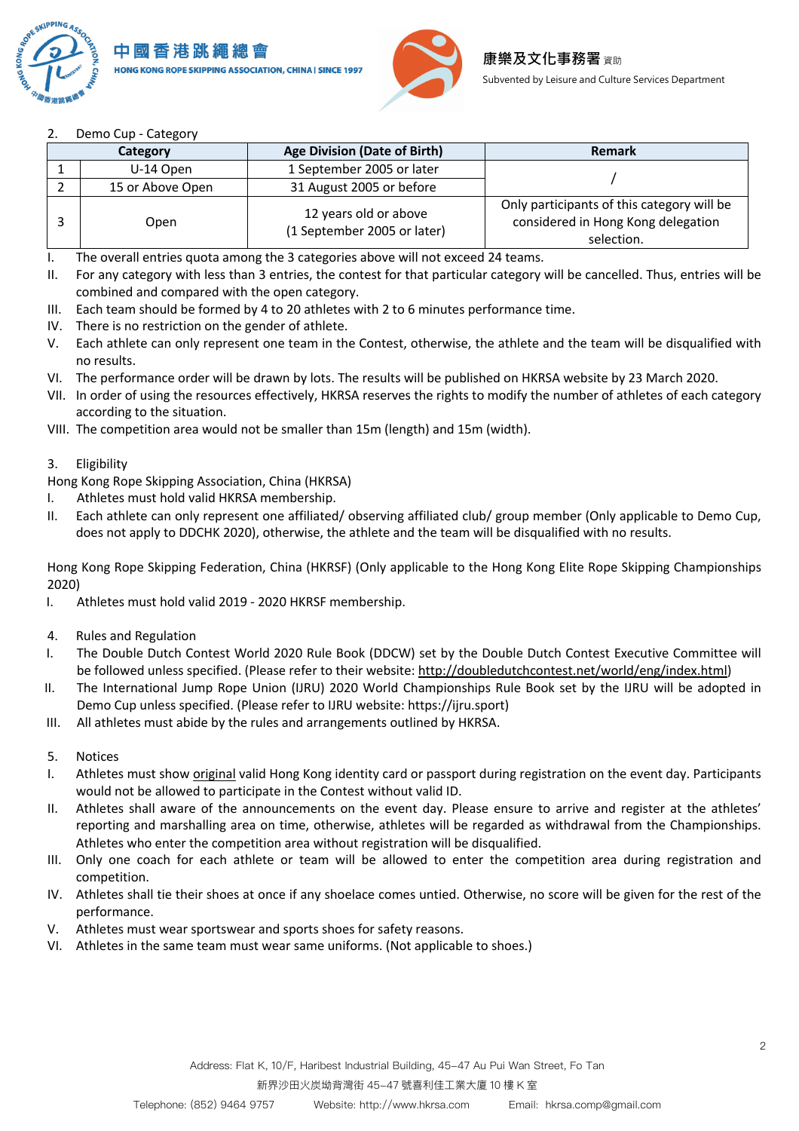



## 2. Demo Cup - Category

| Category |                  | <b>Age Division (Date of Birth)</b>                  | Remark                                                                                         |  |
|----------|------------------|------------------------------------------------------|------------------------------------------------------------------------------------------------|--|
|          | U-14 Open        | 1 September 2005 or later                            |                                                                                                |  |
|          | 15 or Above Open | 31 August 2005 or before                             |                                                                                                |  |
|          | Open             | 12 years old or above<br>(1 September 2005 or later) | Only participants of this category will be<br>considered in Hong Kong delegation<br>selection. |  |

I. The overall entries quota among the 3 categories above will not exceed 24 teams.

- II. For any category with less than 3 entries, the contest for that particular category will be cancelled. Thus, entries will be combined and compared with the open category.
- III. Each team should be formed by 4 to 20 athletes with 2 to 6 minutes performance time.
- IV. There is no restriction on the gender of athlete.
- V. Each athlete can only represent one team in the Contest, otherwise, the athlete and the team will be disqualified with no results.
- VI. The performance order will be drawn by lots. The results will be published on HKRSA website by 23 March 2020.
- VII. In order of using the resources effectively, HKRSA reserves the rights to modify the number of athletes of each category according to the situation.
- VIII. The competition area would not be smaller than 15m (length) and 15m (width).

#### 3. Eligibility

Hong Kong Rope Skipping Association, China (HKRSA)

- I. Athletes must hold valid HKRSA membership.
- II. Each athlete can only represent one affiliated/ observing affiliated club/ group member (Only applicable to Demo Cup, does not apply to DDCHK 2020), otherwise, the athlete and the team will be disqualified with no results.

Hong Kong Rope Skipping Federation, China (HKRSF) (Only applicable to the Hong Kong Elite Rope Skipping Championships 2020)

- I. Athletes must hold valid 2019 2020 HKRSF membership.
- 4. Rules and Regulation
- I. The Double Dutch Contest World 2020 Rule Book (DDCW) set by the Double Dutch Contest Executive Committee will be followed unless specified. (Please refer to their website: http://doubledutchcontest.net/world/eng/index.html)
- II. The International Jump Rope Union (IJRU) 2020 World Championships Rule Book set by the IJRU will be adopted in Demo Cup unless specified. (Please refer to IJRU website: https://ijru.sport)
- III. All athletes must abide by the rules and arrangements outlined by HKRSA.
- 5. Notices
- I. Athletes must show original valid Hong Kong identity card or passport during registration on the event day. Participants would not be allowed to participate in the Contest without valid ID.
- II. Athletes shall aware of the announcements on the event day. Please ensure to arrive and register at the athletes' reporting and marshalling area on time, otherwise, athletes will be regarded as withdrawal from the Championships. Athletes who enter the competition area without registration will be disqualified.
- III. Only one coach for each athlete or team will be allowed to enter the competition area during registration and competition.
- IV. Athletes shall tie their shoes at once if any shoelace comes untied. Otherwise, no score will be given for the rest of the performance.
- V. Athletes must wear sportswear and sports shoes for safety reasons.
- VI. Athletes in the same team must wear same uniforms. (Not applicable to shoes.)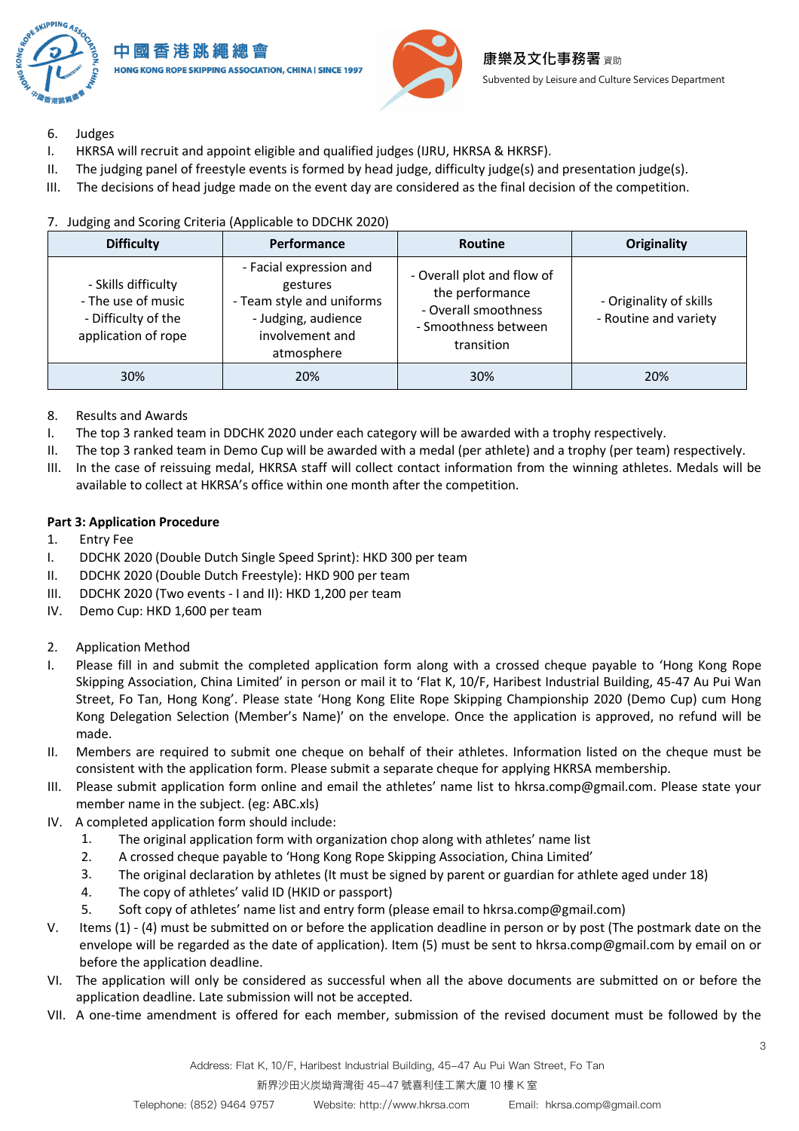

- 6. Judges
- I. HKRSA will recruit and appoint eligible and qualified judges (IJRU, HKRSA & HKRSF).
- II. The judging panel of freestyle events is formed by head judge, difficulty judge(s) and presentation judge(s).
- III. The decisions of head judge made on the event day are considered as the final decision of the competition.

| <b>Difficulty</b>                                                                       | Performance                                                                                                              | <b>Routine</b>                                                                                              | <b>Originality</b>                               |
|-----------------------------------------------------------------------------------------|--------------------------------------------------------------------------------------------------------------------------|-------------------------------------------------------------------------------------------------------------|--------------------------------------------------|
| - Skills difficulty<br>- The use of music<br>- Difficulty of the<br>application of rope | - Facial expression and<br>gestures<br>- Team style and uniforms<br>- Judging, audience<br>involvement and<br>atmosphere | - Overall plot and flow of<br>the performance<br>- Overall smoothness<br>- Smoothness between<br>transition | - Originality of skills<br>- Routine and variety |
| 30%                                                                                     | 20%                                                                                                                      | 30%                                                                                                         | 20%                                              |

### 7. Judging and Scoring Criteria (Applicable to DDCHK 2020)

- 8. Results and Awards
- I. The top 3 ranked team in DDCHK 2020 under each category will be awarded with a trophy respectively.
- II. The top 3 ranked team in Demo Cup will be awarded with a medal (per athlete) and a trophy (per team) respectively.
- III. In the case of reissuing medal, HKRSA staff will collect contact information from the winning athletes. Medals will be available to collect at HKRSA's office within one month after the competition.

#### **Part 3: Application Procedure**

- 1. Entry Fee
- I. DDCHK 2020 (Double Dutch Single Speed Sprint): HKD 300 per team
- II. DDCHK 2020 (Double Dutch Freestyle): HKD 900 per team
- III. DDCHK 2020 (Two events I and II): HKD 1,200 per team
- IV. Demo Cup: HKD 1,600 per team
- 2. Application Method
- I. Please fill in and submit the completed application form along with a crossed cheque payable to 'Hong Kong Rope Skipping Association, China Limited' in person or mail it to 'Flat K, 10/F, Haribest Industrial Building, 45-47 Au Pui Wan Street, Fo Tan, Hong Kong'. Please state 'Hong Kong Elite Rope Skipping Championship 2020 (Demo Cup) cum Hong Kong Delegation Selection (Member's Name)' on the envelope. Once the application is approved, no refund will be made.
- II. Members are required to submit one cheque on behalf of their athletes. Information listed on the cheque must be consistent with the application form. Please submit a separate cheque for applying HKRSA membership.
- III. Please submit application form online and email the athletes' name list to hkrsa.comp@gmail.com. Please state your member name in the subject. (eg: ABC.xls)
- IV. A completed application form should include:
	- 1. The original application form with organization chop along with athletes' name list
	- 2. A crossed cheque payable to 'Hong Kong Rope Skipping Association, China Limited'
	- 3. The original declaration by athletes (It must be signed by parent or guardian for athlete aged under 18)
	- 4. The copy of athletes' valid ID (HKID or passport)
	- 5. Soft copy of athletes' name list and entry form (please email to hkrsa.comp@gmail.com)
- V. Items (1) (4) must be submitted on or before the application deadline in person or by post (The postmark date on the envelope will be regarded as the date of application). Item (5) must be sent to hkrsa.comp@gmail.com by email on or before the application deadline.
- VI. The application will only be considered as successful when all the above documents are submitted on or before the application deadline. Late submission will not be accepted.
- VII. A one-time amendment is offered for each member, submission of the revised document must be followed by the